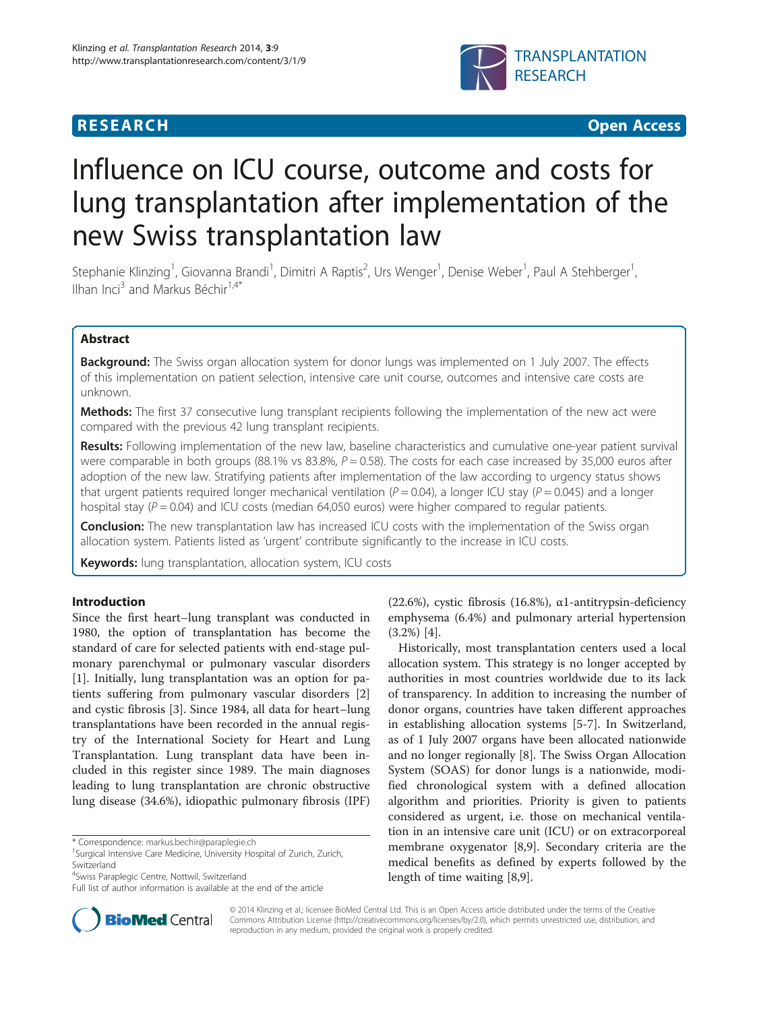

**RESEARCH CHINESE ARCH CHINESE ARCH CHINESE ARCH <b>CHINESE ARCH** 

# Influence on ICU course, outcome and costs for lung transplantation after implementation of the new Swiss transplantation law

Stephanie Klinzing<sup>1</sup>, Giovanna Brandi<sup>1</sup>, Dimitri A Raptis<sup>2</sup>, Urs Wenger<sup>1</sup>, Denise Weber<sup>1</sup>, Paul A Stehberger<sup>1</sup> , Ilhan Inci<sup>3</sup> and Markus Béchir<sup>1,4\*</sup>

# Abstract

Background: The Swiss organ allocation system for donor lungs was implemented on 1 July 2007. The effects of this implementation on patient selection, intensive care unit course, outcomes and intensive care costs are unknown.

Methods: The first 37 consecutive lung transplant recipients following the implementation of the new act were compared with the previous 42 lung transplant recipients.

Results: Following implementation of the new law, baseline characteristics and cumulative one-year patient survival were comparable in both groups (88.1% vs 83.8%,  $P = 0.58$ ). The costs for each case increased by 35,000 euros after adoption of the new law. Stratifying patients after implementation of the law according to urgency status shows that urgent patients required longer mechanical ventilation ( $P = 0.04$ ), a longer ICU stay ( $P = 0.045$ ) and a longer hospital stay ( $P = 0.04$ ) and ICU costs (median 64,050 euros) were higher compared to regular patients.

**Conclusion:** The new transplantation law has increased ICU costs with the implementation of the Swiss organ allocation system. Patients listed as 'urgent' contribute significantly to the increase in ICU costs.

Keywords: lung transplantation, allocation system, ICU costs

# Introduction

Since the first heart–lung transplant was conducted in 1980, the option of transplantation has become the standard of care for selected patients with end-stage pulmonary parenchymal or pulmonary vascular disorders [[1\]](#page-6-0). Initially, lung transplantation was an option for patients suffering from pulmonary vascular disorders [\[2](#page-6-0)] and cystic fibrosis [[3\]](#page-6-0). Since 1984, all data for heart–lung transplantations have been recorded in the annual registry of the International Society for Heart and Lung Transplantation. Lung transplant data have been included in this register since 1989. The main diagnoses leading to lung transplantation are chronic obstructive lung disease (34.6%), idiopathic pulmonary fibrosis (IPF)

4 Swiss Paraplegic Centre, Nottwil, Switzerland



Historically, most transplantation centers used a local allocation system. This strategy is no longer accepted by authorities in most countries worldwide due to its lack of transparency. In addition to increasing the number of donor organs, countries have taken different approaches in establishing allocation systems [[5-7\]](#page-6-0). In Switzerland, as of 1 July 2007 organs have been allocated nationwide and no longer regionally [[8\]](#page-6-0). The Swiss Organ Allocation System (SOAS) for donor lungs is a nationwide, modified chronological system with a defined allocation algorithm and priorities. Priority is given to patients considered as urgent, i.e. those on mechanical ventilation in an intensive care unit (ICU) or on extracorporeal membrane oxygenator [\[8,9](#page-6-0)]. Secondary criteria are the medical benefits as defined by experts followed by the length of time waiting [\[8,9](#page-6-0)].



© 2014 Klinzing et al.; licensee BioMed Central Ltd. This is an Open Access article distributed under the terms of the Creative Commons Attribution License [\(http://creativecommons.org/licenses/by/2.0\)](http://creativecommons.org/licenses/by/2.0), which permits unrestricted use, distribution, and reproduction in any medium, provided the original work is properly credited.

<sup>\*</sup> Correspondence: [markus.bechir@paraplegie.ch](mailto:markus.bechir@paraplegie.ch) <sup>1</sup>

<sup>&</sup>lt;sup>1</sup>Surgical Intensive Care Medicine, University Hospital of Zurich, Zurich, Switzerland

Full list of author information is available at the end of the article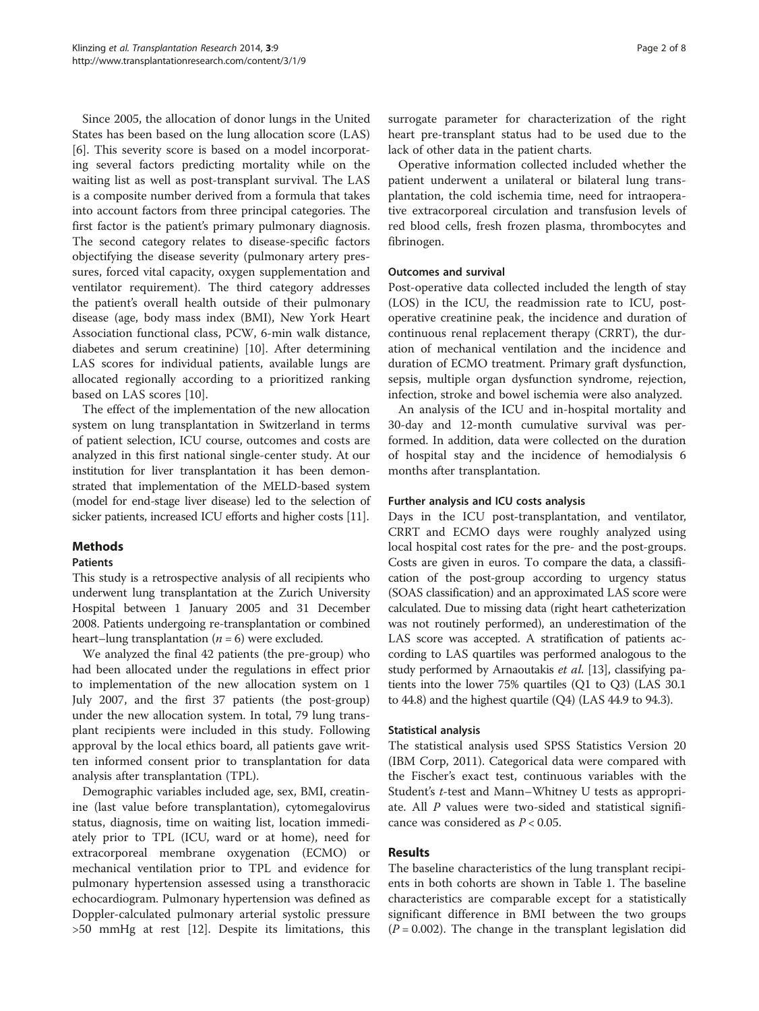Since 2005, the allocation of donor lungs in the United States has been based on the lung allocation score (LAS) [[6\]](#page-6-0). This severity score is based on a model incorporating several factors predicting mortality while on the waiting list as well as post-transplant survival. The LAS is a composite number derived from a formula that takes into account factors from three principal categories. The first factor is the patient's primary pulmonary diagnosis. The second category relates to disease-specific factors objectifying the disease severity (pulmonary artery pressures, forced vital capacity, oxygen supplementation and ventilator requirement). The third category addresses the patient's overall health outside of their pulmonary disease (age, body mass index (BMI), New York Heart Association functional class, PCW, 6-min walk distance, diabetes and serum creatinine) [\[10](#page-6-0)]. After determining LAS scores for individual patients, available lungs are allocated regionally according to a prioritized ranking based on LAS scores [\[10](#page-6-0)].

The effect of the implementation of the new allocation system on lung transplantation in Switzerland in terms of patient selection, ICU course, outcomes and costs are analyzed in this first national single-center study. At our institution for liver transplantation it has been demonstrated that implementation of the MELD-based system (model for end-stage liver disease) led to the selection of sicker patients, increased ICU efforts and higher costs [\[11](#page-6-0)].

# **Methods**

# Patients

This study is a retrospective analysis of all recipients who underwent lung transplantation at the Zurich University Hospital between 1 January 2005 and 31 December 2008. Patients undergoing re-transplantation or combined heart–lung transplantation ( $n = 6$ ) were excluded.

We analyzed the final 42 patients (the pre-group) who had been allocated under the regulations in effect prior to implementation of the new allocation system on 1 July 2007, and the first 37 patients (the post-group) under the new allocation system. In total, 79 lung transplant recipients were included in this study. Following approval by the local ethics board, all patients gave written informed consent prior to transplantation for data analysis after transplantation (TPL).

Demographic variables included age, sex, BMI, creatinine (last value before transplantation), cytomegalovirus status, diagnosis, time on waiting list, location immediately prior to TPL (ICU, ward or at home), need for extracorporeal membrane oxygenation (ECMO) or mechanical ventilation prior to TPL and evidence for pulmonary hypertension assessed using a transthoracic echocardiogram. Pulmonary hypertension was defined as Doppler-calculated pulmonary arterial systolic pressure >50 mmHg at rest [\[12](#page-7-0)]. Despite its limitations, this

surrogate parameter for characterization of the right heart pre-transplant status had to be used due to the lack of other data in the patient charts.

Operative information collected included whether the patient underwent a unilateral or bilateral lung transplantation, the cold ischemia time, need for intraoperative extracorporeal circulation and transfusion levels of red blood cells, fresh frozen plasma, thrombocytes and fibrinogen.

# Outcomes and survival

Post-operative data collected included the length of stay (LOS) in the ICU, the readmission rate to ICU, postoperative creatinine peak, the incidence and duration of continuous renal replacement therapy (CRRT), the duration of mechanical ventilation and the incidence and duration of ECMO treatment. Primary graft dysfunction, sepsis, multiple organ dysfunction syndrome, rejection, infection, stroke and bowel ischemia were also analyzed.

An analysis of the ICU and in-hospital mortality and 30-day and 12-month cumulative survival was performed. In addition, data were collected on the duration of hospital stay and the incidence of hemodialysis 6 months after transplantation.

# Further analysis and ICU costs analysis

Days in the ICU post-transplantation, and ventilator, CRRT and ECMO days were roughly analyzed using local hospital cost rates for the pre- and the post-groups. Costs are given in euros. To compare the data, a classification of the post-group according to urgency status (SOAS classification) and an approximated LAS score were calculated. Due to missing data (right heart catheterization was not routinely performed), an underestimation of the LAS score was accepted. A stratification of patients according to LAS quartiles was performed analogous to the study performed by Arnaoutakis *et al.* [[13](#page-7-0)], classifying patients into the lower 75% quartiles (Q1 to Q3) (LAS 30.1 to  $44.8$ ) and the highest quartile  $(Q4)$  (LAS  $44.9$  to  $94.3$ ).

# Statistical analysis

The statistical analysis used SPSS Statistics Version 20 (IBM Corp, 2011). Categorical data were compared with the Fischer's exact test, continuous variables with the Student's t-test and Mann–Whitney U tests as appropriate. All P values were two-sided and statistical significance was considered as  $P < 0.05$ .

# Results

The baseline characteristics of the lung transplant recipients in both cohorts are shown in Table [1.](#page-2-0) The baseline characteristics are comparable except for a statistically significant difference in BMI between the two groups  $(P = 0.002)$ . The change in the transplant legislation did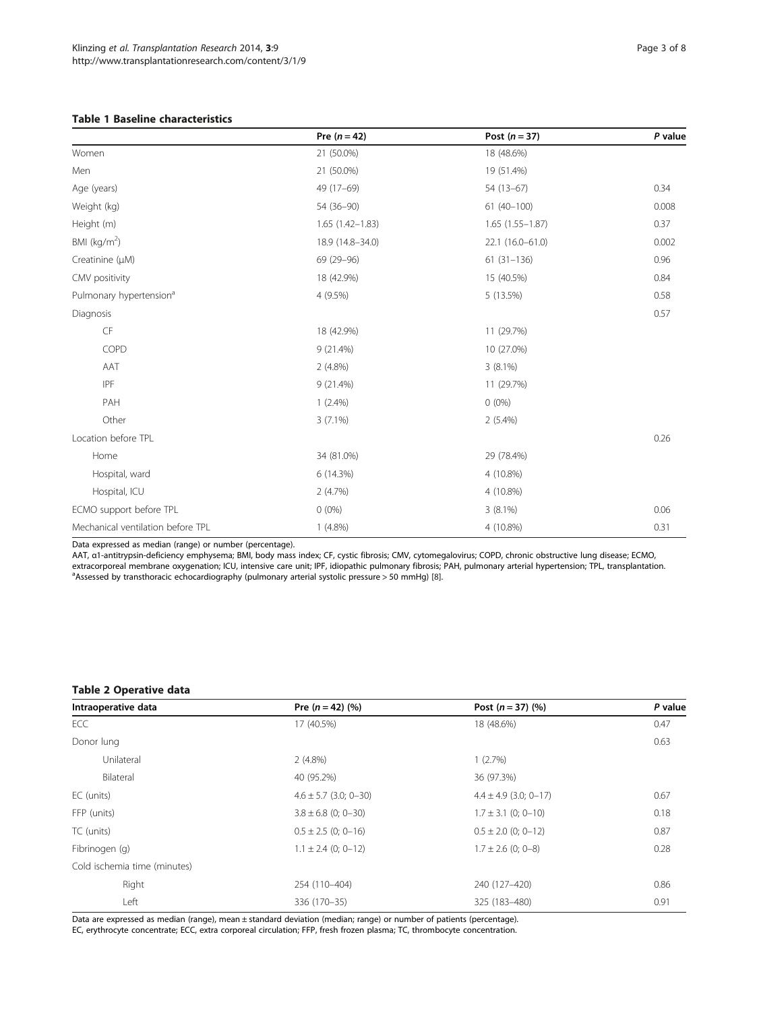### <span id="page-2-0"></span>Table 1 Baseline characteristics

|                                     | Pre $(n = 42)$        | Post $(n=37)$       | P value |
|-------------------------------------|-----------------------|---------------------|---------|
| Women                               | 21 (50.0%)            | 18 (48.6%)          |         |
| Men                                 | 21 (50.0%)            | 19 (51.4%)          |         |
| Age (years)                         | 49 (17-69)            | $54(13-67)$         | 0.34    |
| Weight (kg)                         | 54 (36-90)            | $61(40-100)$        | 0.008   |
| Height (m)                          | $1.65(1.42 - 1.83)$   | $1.65(1.55 - 1.87)$ | 0.37    |
| BMI ( $kg/m2$ )                     | 18.9 (14.8-34.0)      | 22.1 (16.0-61.0)    | 0.002   |
| Creatinine (µM)                     | 69 (29-96)            | $61(31-136)$        | 0.96    |
| CMV positivity                      | 18 (42.9%)            | 15 (40.5%)          | 0.84    |
| Pulmonary hypertension <sup>a</sup> | 5 (13.5%)<br>4 (9.5%) |                     | 0.58    |
| Diagnosis                           |                       |                     | 0.57    |
| CF                                  | 18 (42.9%)            | 11 (29.7%)          |         |
| COPD                                | 9(21.4%)              | 10 (27.0%)          |         |
| AAT                                 | $2(4.8\%)$            | $3(8.1\%)$          |         |
| IPF                                 | 9(21.4%)              | 11 (29.7%)          |         |
| PAH                                 | $1(2.4\%)$            | $0(0\%)$            |         |
| Other                               | $3(7.1\%)$            | $2(5.4\%)$          |         |
| Location before TPL                 |                       |                     | 0.26    |
| Home                                | 34 (81.0%)            | 29 (78.4%)          |         |
| Hospital, ward                      | 6 (14.3%)             | 4 (10.8%)           |         |
| Hospital, ICU                       | 2(4.7%)               | 4 (10.8%)           |         |
| ECMO support before TPL             | $0(0\%)$              | $3(8.1\%)$          | 0.06    |
| Mechanical ventilation before TPL   | $1(4.8\%)$            | 4 (10.8%)           | 0.31    |

Data expressed as median (range) or number (percentage).

AAT, α1-antitrypsin-deficiency emphysema; BMI, body mass index; CF, cystic fibrosis; CMV, cytomegalovirus; COPD, chronic obstructive lung disease; ECMO, extracorporeal membrane oxygenation; ICU, intensive care unit; IPF, idiopathic pulmonary fibrosis; PAH, pulmonary arterial hypertension; TPL, transplantation. <sup>a</sup> <sup>a</sup> Assessed by transthoracic echocardiography (pulmonary arterial systolic pressure > 50 mmHg) [[8](#page-6-0)].

## Table 2 Operative data

| Intraoperative data          | Pre $(n = 42)$ (%)        | Post $(n = 37)$ (%)       | P value |
|------------------------------|---------------------------|---------------------------|---------|
| ECC                          | 17 (40.5%)                | 18 (48.6%)                | 0.47    |
| Donor lung                   |                           |                           | 0.63    |
| Unilateral                   | $2(4.8\%)$                | 1(2.7%)                   |         |
| Bilateral                    | 40 (95.2%)                | 36 (97.3%)                |         |
| EC (units)                   | $4.6 \pm 5.7$ (3.0; 0-30) | $4.4 \pm 4.9$ (3.0; 0-17) | 0.67    |
| FFP (units)                  | $3.8 \pm 6.8$ (0; 0-30)   | $1.7 \pm 3.1$ (0; 0-10)   | 0.18    |
| TC (units)                   | $0.5 \pm 2.5$ (0; 0-16)   | $0.5 \pm 2.0$ (0; 0-12)   | 0.87    |
| Fibrinogen (g)               | $1.1 \pm 2.4$ (0; 0-12)   | $1.7 \pm 2.6$ (0; 0-8)    | 0.28    |
| Cold ischemia time (minutes) |                           |                           |         |
| Right                        | 254 (110-404)             | 240 (127-420)             | 0.86    |
| Left                         | 336 (170-35)              | 325 (183-480)             | 0.91    |

Data are expressed as median (range), mean ± standard deviation (median; range) or number of patients (percentage).

EC, erythrocyte concentrate; ECC, extra corporeal circulation; FFP, fresh frozen plasma; TC, thrombocyte concentration.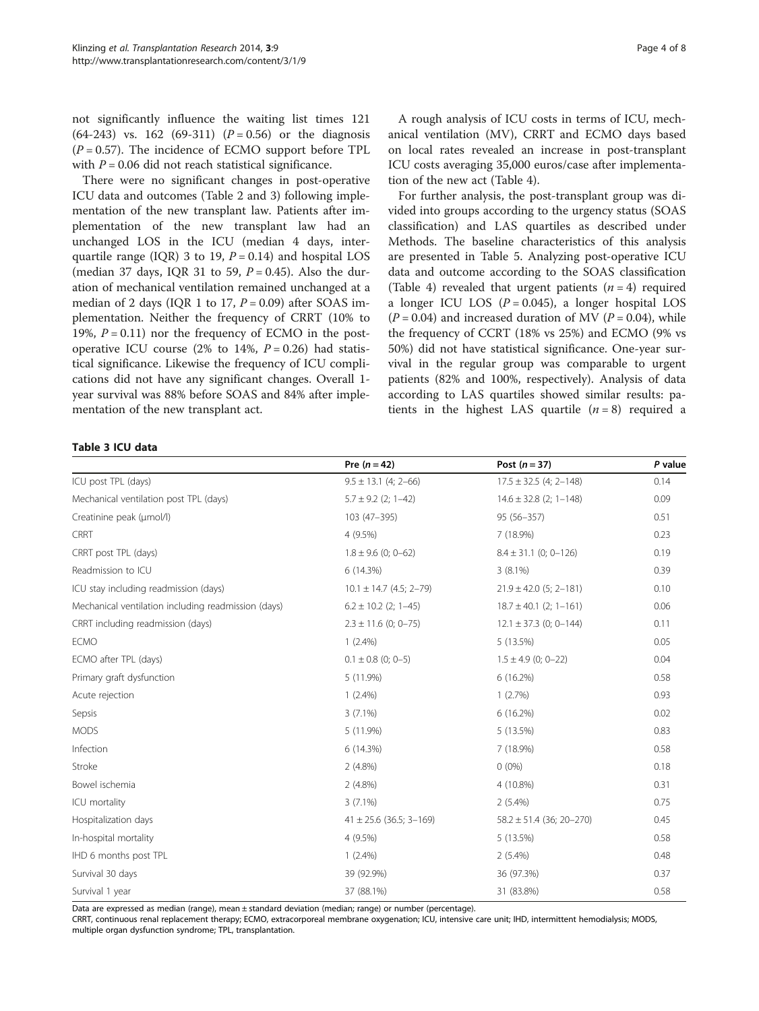not significantly influence the waiting list times 121  $(64-243)$  vs. 162  $(69-311)$   $(P = 0.56)$  or the diagnosis  $(P = 0.57)$ . The incidence of ECMO support before TPL

with  $P = 0.06$  did not reach statistical significance. There were no significant changes in post-operative ICU data and outcomes (Table [2](#page-2-0) and 3) following implementation of the new transplant law. Patients after implementation of the new transplant law had an unchanged LOS in the ICU (median 4 days, interquartile range (IQR) 3 to 19,  $P = 0.14$ ) and hospital LOS (median 37 days, IQR 31 to 59,  $P = 0.45$ ). Also the duration of mechanical ventilation remained unchanged at a median of 2 days (IOR 1 to 17,  $P = 0.09$ ) after SOAS implementation. Neither the frequency of CRRT (10% to 19%,  $P = 0.11$ ) nor the frequency of ECMO in the postoperative ICU course (2% to 14%,  $P = 0.26$ ) had statistical significance. Likewise the frequency of ICU complications did not have any significant changes. Overall 1 year survival was 88% before SOAS and 84% after implementation of the new transplant act.

A rough analysis of ICU costs in terms of ICU, mechanical ventilation (MV), CRRT and ECMO days based on local rates revealed an increase in post-transplant ICU costs averaging 35,000 euros/case after implementation of the new act (Table [4](#page-4-0)).

For further analysis, the post-transplant group was divided into groups according to the urgency status (SOAS classification) and LAS quartiles as described under Methods. The baseline characteristics of this analysis are presented in Table [5](#page-5-0). Analyzing post-operative ICU data and outcome according to the SOAS classification (Table [4](#page-4-0)) revealed that urgent patients  $(n = 4)$  required a longer ICU LOS  $(P = 0.045)$ , a longer hospital LOS  $(P = 0.04)$  and increased duration of MV ( $P = 0.04$ ), while the frequency of CCRT (18% vs 25%) and ECMO (9% vs 50%) did not have statistical significance. One-year survival in the regular group was comparable to urgent patients (82% and 100%, respectively). Analysis of data according to LAS quartiles showed similar results: patients in the highest LAS quartile  $(n = 8)$  required a

# Table 3 ICU data

|                                                     | Pre $(n = 42)$              | Post $(n=37)$                | P value                              |
|-----------------------------------------------------|-----------------------------|------------------------------|--------------------------------------|
| ICU post TPL (days)                                 | $9.5 \pm 13.1$ (4; 2-66)    | $17.5 \pm 32.5$ (4; 2-148)   | 0.14                                 |
| Mechanical ventilation post TPL (days)              | $5.7 \pm 9.2$ (2; 1-42)     | $14.6 \pm 32.8$ (2; 1-148)   | 0.09                                 |
| Creatinine peak (µmol/l)                            | 103 (47-395)                | 95 (56-357)                  | 0.51                                 |
| <b>CRRT</b>                                         | 4 (9.5%)                    | 7 (18.9%)                    | 0.23                                 |
| CRRT post TPL (days)                                | $1.8 \pm 9.6$ (0; 0-62)     | $8.4 \pm 31.1$ (0; 0-126)    | 0.19                                 |
| Readmission to ICU                                  | 6 (14.3%)                   | $3(8.1\%)$                   | 0.39                                 |
| ICU stay including readmission (days)               | $10.1 \pm 14.7$ (4.5; 2-79) | $21.9 \pm 42.0$ (5; 2-181)   | 0.10                                 |
| Mechanical ventilation including readmission (days) | $6.2 \pm 10.2$ (2; 1-45)    | $18.7 \pm 40.1$ (2; 1-161)   | 0.06                                 |
| CRRT including readmission (days)                   | $2.3 \pm 11.6$ (0; 0-75)    | $12.1 \pm 37.3$ (0; 0-144)   | 0.11                                 |
| <b>ECMO</b>                                         | $1(2.4\%)$                  | 5 (13.5%)                    | 0.05                                 |
| ECMO after TPL (days)                               | $0.1 \pm 0.8$ (0; 0-5)      | $1.5 \pm 4.9$ (0; 0-22)      | 0.04                                 |
| Primary graft dysfunction                           | 5 (11.9%)                   | 6(16.2%)                     | 0.58                                 |
| Acute rejection                                     | $1(2.4\%)$                  | 1(2.7%)                      | 0.93<br>0.02<br>0.83<br>0.58<br>0.18 |
| Sepsis                                              | $3(7.1\%)$                  | 6 (16.2%)                    |                                      |
| <b>MODS</b>                                         | 5 (11.9%)                   | 5 (13.5%)                    |                                      |
| Infection                                           | 6 (14.3%)                   | 7 (18.9%)                    |                                      |
| Stroke                                              | $2(4.8\%)$                  | $0(0\%)$                     |                                      |
| Bowel ischemia                                      | $2(4.8\%)$                  | 4 (10.8%)                    | 0.31                                 |
| ICU mortality                                       | $3(7.1\%)$                  | $2(5.4\%)$                   | 0.75                                 |
| Hospitalization days                                | $41 \pm 25.6$ (36.5; 3-169) | $58.2 \pm 51.4$ (36; 20-270) | 0.45                                 |
| In-hospital mortality                               | 4 (9.5%)                    | 5 (13.5%)                    | 0.58                                 |
| IHD 6 months post TPL                               | $1(2.4\%)$                  | $2(5.4\%)$                   | 0.48                                 |
| Survival 30 days                                    | 39 (92.9%)                  | 36 (97.3%)                   | 0.37                                 |
| Survival 1 year                                     | 37 (88.1%)                  | 31 (83.8%)                   | 0.58                                 |

Data are expressed as median (range), mean ± standard deviation (median; range) or number (percentage).

CRRT, continuous renal replacement therapy; ECMO, extracorporeal membrane oxygenation; ICU, intensive care unit; IHD, intermittent hemodialysis; MODS, multiple organ dysfunction syndrome; TPL, transplantation.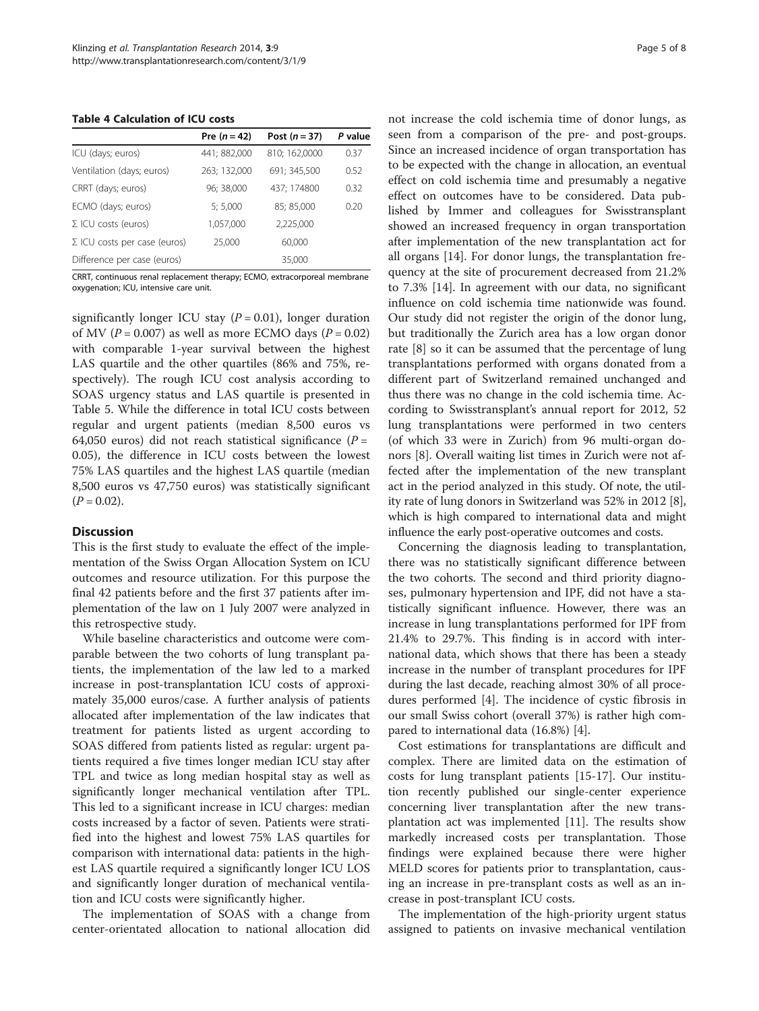#### <span id="page-4-0"></span>Table 4 Calculation of ICU costs

|                                     | Pre $(n = 42)$ | Post $(n=37)$ | P value |
|-------------------------------------|----------------|---------------|---------|
| ICU (days; euros)                   | 441; 882,000   | 810; 162,0000 | 0.37    |
| Ventilation (days; euros)           | 263; 132,000   | 691; 345,500  | 0.52    |
| CRRT (days; euros)                  | 96; 38,000     | 437; 174800   | 0.32    |
| ECMO (days; euros)                  | 5; 5,000       | 85; 85,000    | 0.20    |
| $\Sigma$ ICU costs (euros)          | 1,057,000      | 2,225,000     |         |
| $\Sigma$ ICU costs per case (euros) | 25,000         | 60,000        |         |
| Difference per case (euros)         |                | 35,000        |         |

CRRT, continuous renal replacement therapy; ECMO, extracorporeal membrane oxygenation; ICU, intensive care unit.

significantly longer ICU stay  $(P = 0.01)$ , longer duration of MV ( $P = 0.007$ ) as well as more ECMO days ( $P = 0.02$ ) with comparable 1-year survival between the highest LAS quartile and the other quartiles (86% and 75%, respectively). The rough ICU cost analysis according to SOAS urgency status and LAS quartile is presented in Table [5.](#page-5-0) While the difference in total ICU costs between regular and urgent patients (median 8,500 euros vs 64,050 euros) did not reach statistical significance ( $P =$ 0.05), the difference in ICU costs between the lowest 75% LAS quartiles and the highest LAS quartile (median 8,500 euros vs 47,750 euros) was statistically significant  $(P = 0.02)$ .

### **Discussion**

This is the first study to evaluate the effect of the implementation of the Swiss Organ Allocation System on ICU outcomes and resource utilization. For this purpose the final 42 patients before and the first 37 patients after implementation of the law on 1 July 2007 were analyzed in this retrospective study.

While baseline characteristics and outcome were comparable between the two cohorts of lung transplant patients, the implementation of the law led to a marked increase in post-transplantation ICU costs of approximately 35,000 euros/case. A further analysis of patients allocated after implementation of the law indicates that treatment for patients listed as urgent according to SOAS differed from patients listed as regular: urgent patients required a five times longer median ICU stay after TPL and twice as long median hospital stay as well as significantly longer mechanical ventilation after TPL. This led to a significant increase in ICU charges: median costs increased by a factor of seven. Patients were stratified into the highest and lowest 75% LAS quartiles for comparison with international data: patients in the highest LAS quartile required a significantly longer ICU LOS and significantly longer duration of mechanical ventilation and ICU costs were significantly higher.

The implementation of SOAS with a change from center-orientated allocation to national allocation did

not increase the cold ischemia time of donor lungs, as seen from a comparison of the pre- and post-groups. Since an increased incidence of organ transportation has to be expected with the change in allocation, an eventual effect on cold ischemia time and presumably a negative effect on outcomes have to be considered. Data published by Immer and colleagues for Swisstransplant showed an increased frequency in organ transportation after implementation of the new transplantation act for all organs [\[14](#page-7-0)]. For donor lungs, the transplantation frequency at the site of procurement decreased from 21.2% to 7.3% [\[14](#page-7-0)]. In agreement with our data, no significant influence on cold ischemia time nationwide was found. Our study did not register the origin of the donor lung, but traditionally the Zurich area has a low organ donor rate [[8\]](#page-6-0) so it can be assumed that the percentage of lung transplantations performed with organs donated from a different part of Switzerland remained unchanged and thus there was no change in the cold ischemia time. According to Swisstransplant's annual report for 2012, 52 lung transplantations were performed in two centers (of which 33 were in Zurich) from 96 multi-organ donors [[8\]](#page-6-0). Overall waiting list times in Zurich were not affected after the implementation of the new transplant act in the period analyzed in this study. Of note, the utility rate of lung donors in Switzerland was 52% in 2012 [[8](#page-6-0)], which is high compared to international data and might influence the early post-operative outcomes and costs.

Concerning the diagnosis leading to transplantation, there was no statistically significant difference between the two cohorts. The second and third priority diagnoses, pulmonary hypertension and IPF, did not have a statistically significant influence. However, there was an increase in lung transplantations performed for IPF from 21.4% to 29.7%. This finding is in accord with international data, which shows that there has been a steady increase in the number of transplant procedures for IPF during the last decade, reaching almost 30% of all procedures performed [\[4\]](#page-6-0). The incidence of cystic fibrosis in our small Swiss cohort (overall 37%) is rather high compared to international data (16.8%) [\[4](#page-6-0)].

Cost estimations for transplantations are difficult and complex. There are limited data on the estimation of costs for lung transplant patients [[15](#page-7-0)-[17\]](#page-7-0). Our institution recently published our single-center experience concerning liver transplantation after the new transplantation act was implemented [[11\]](#page-6-0). The results show markedly increased costs per transplantation. Those findings were explained because there were higher MELD scores for patients prior to transplantation, causing an increase in pre-transplant costs as well as an increase in post-transplant ICU costs.

The implementation of the high-priority urgent status assigned to patients on invasive mechanical ventilation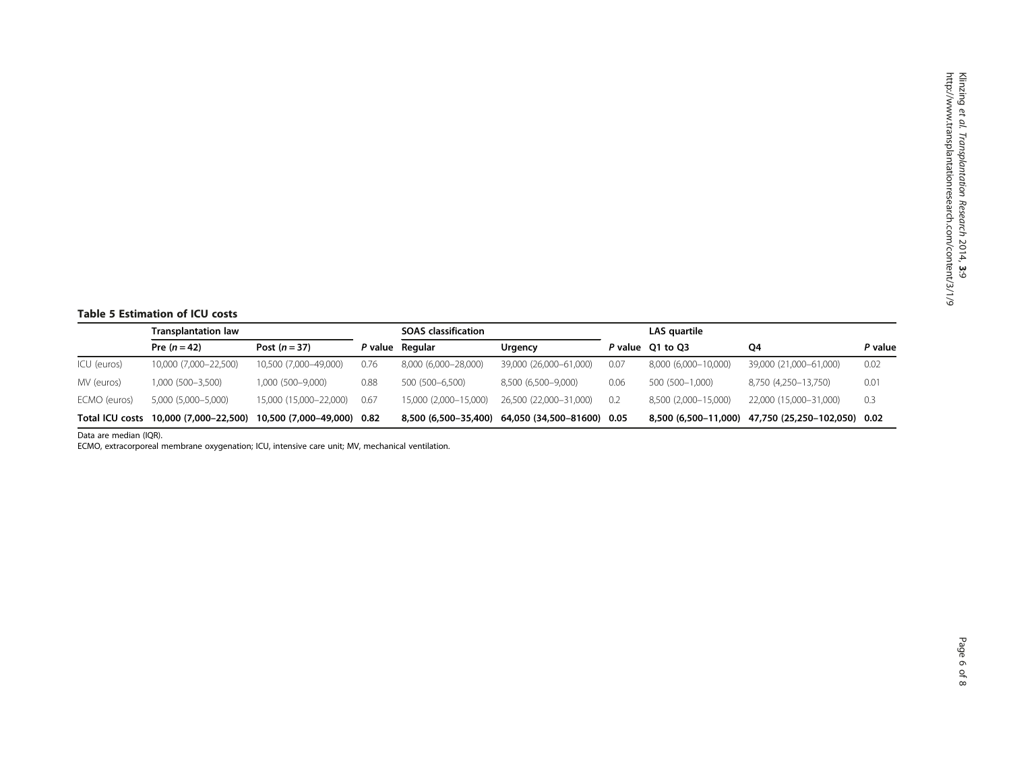# <span id="page-5-0"></span>Table 5 Estimation of ICU costs

|              | <b>Transplantation law</b>            |                            |      | <b>SOAS</b> classification |                            |      | LAS quartile         |                                                   |         |
|--------------|---------------------------------------|----------------------------|------|----------------------------|----------------------------|------|----------------------|---------------------------------------------------|---------|
|              | Pre $(n = 42)$                        | Post $(n=37)$              |      | P value Regular            | <b>Urgency</b>             |      | P value Q1 to Q3     | Q4                                                | P value |
| ICU (euros)  | 10,000 (7,000-22,500)                 | 10,500 (7,000-49,000)      | 0.76 | 8,000 (6,000-28,000)       | 39,000 (26,000-61,000)     | 0.07 | 8,000 (6,000-10,000) | 39,000 (21,000-61,000)                            | 0.02    |
| MV (euros)   | 1,000 (500-3,500)                     | 1,000 (500-9,000)          | 0.88 | 500 (500-6,500)            | 8,500 (6,500-9,000)        | 0.06 | 500 (500-1,000)      | 8,750 (4,250-13,750)                              | 0.01    |
| ECMO (euros) | 5,000 (5,000-5,000)                   | 15,000 (15,000-22,000)     | 0.67 | 15,000 (2,000-15,000)      | 26,500 (22,000-31,000)     | 0.2  | 8,500 (2,000-15,000) | 22,000 (15,000-31,000)                            | 0.3     |
|              | Total ICU costs 10,000 (7,000-22,500) | 10,500 (7,000-49,000) 0.82 |      | 8,500 (6,500-35,400)       | 64,050 (34,500-81600) 0.05 |      |                      | 8,500 (6,500-11,000) 47,750 (25,250-102,050) 0.02 |         |

Data are median (IQR).

ECMO, extracorporeal membrane oxygenation; ICU, intensive care unit; MV, mechanical ventilation.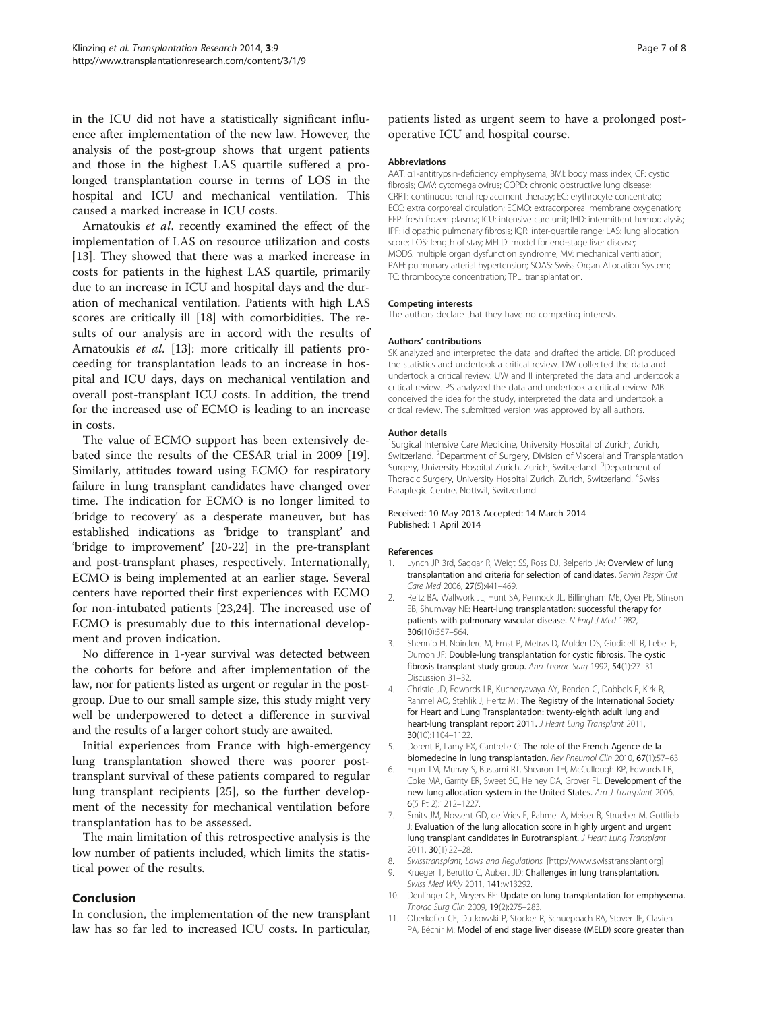<span id="page-6-0"></span>in the ICU did not have a statistically significant influence after implementation of the new law. However, the analysis of the post-group shows that urgent patients and those in the highest LAS quartile suffered a prolonged transplantation course in terms of LOS in the hospital and ICU and mechanical ventilation. This caused a marked increase in ICU costs.

Arnatoukis et al. recently examined the effect of the implementation of LAS on resource utilization and costs [[13\]](#page-7-0). They showed that there was a marked increase in costs for patients in the highest LAS quartile, primarily due to an increase in ICU and hospital days and the duration of mechanical ventilation. Patients with high LAS scores are critically ill [[18\]](#page-7-0) with comorbidities. The results of our analysis are in accord with the results of Arnatoukis et al. [\[13](#page-7-0)]: more critically ill patients proceeding for transplantation leads to an increase in hospital and ICU days, days on mechanical ventilation and overall post-transplant ICU costs. In addition, the trend for the increased use of ECMO is leading to an increase in costs.

The value of ECMO support has been extensively debated since the results of the CESAR trial in 2009 [\[19](#page-7-0)]. Similarly, attitudes toward using ECMO for respiratory failure in lung transplant candidates have changed over time. The indication for ECMO is no longer limited to 'bridge to recovery' as a desperate maneuver, but has established indications as 'bridge to transplant' and 'bridge to improvement' [[20-22](#page-7-0)] in the pre-transplant and post-transplant phases, respectively. Internationally, ECMO is being implemented at an earlier stage. Several centers have reported their first experiences with ECMO for non-intubated patients [[23,24\]](#page-7-0). The increased use of ECMO is presumably due to this international development and proven indication.

No difference in 1-year survival was detected between the cohorts for before and after implementation of the law, nor for patients listed as urgent or regular in the postgroup. Due to our small sample size, this study might very well be underpowered to detect a difference in survival and the results of a larger cohort study are awaited.

Initial experiences from France with high-emergency lung transplantation showed there was poorer posttransplant survival of these patients compared to regular lung transplant recipients [\[25](#page-7-0)], so the further development of the necessity for mechanical ventilation before transplantation has to be assessed.

The main limitation of this retrospective analysis is the low number of patients included, which limits the statistical power of the results.

# Conclusion

In conclusion, the implementation of the new transplant law has so far led to increased ICU costs. In particular, patients listed as urgent seem to have a prolonged postoperative ICU and hospital course.

#### **Abbreviations**

AAT: α1-antitrypsin-deficiency emphysema; BMI: body mass index; CF: cystic fibrosis; CMV: cytomegalovirus; COPD: chronic obstructive lung disease; CRRT: continuous renal replacement therapy; EC: erythrocyte concentrate; ECC: extra corporeal circulation; ECMO: extracorporeal membrane oxygenation; FFP: fresh frozen plasma; ICU: intensive care unit; IHD: intermittent hemodialysis; IPF: idiopathic pulmonary fibrosis; IQR: inter-quartile range; LAS: lung allocation score; LOS: length of stay; MELD: model for end-stage liver disease; MODS: multiple organ dysfunction syndrome; MV: mechanical ventilation; PAH: pulmonary arterial hypertension; SOAS: Swiss Organ Allocation System; TC: thrombocyte concentration; TPL: transplantation.

#### Competing interests

The authors declare that they have no competing interests.

#### Authors' contributions

SK analyzed and interpreted the data and drafted the article. DR produced the statistics and undertook a critical review. DW collected the data and undertook a critical review. UW and II interpreted the data and undertook a critical review. PS analyzed the data and undertook a critical review. MB conceived the idea for the study, interpreted the data and undertook a critical review. The submitted version was approved by all authors.

#### Author details

<sup>1</sup>Surgical Intensive Care Medicine, University Hospital of Zurich, Zurich, Switzerland. <sup>2</sup>Department of Surgery, Division of Visceral and Transplantation Surgery, University Hospital Zurich, Zurich, Switzerland. <sup>3</sup>Department of Thoracic Surgery, University Hospital Zurich, Zurich, Switzerland. <sup>4</sup>Swiss Paraplegic Centre, Nottwil, Switzerland.

#### Received: 10 May 2013 Accepted: 14 March 2014 Published: 1 April 2014

#### References

- Lynch JP 3rd, Saggar R, Weigt SS, Ross DJ, Belperio JA: Overview of lung transplantation and criteria for selection of candidates. Semin Respir Crit Care Med 2006, 27(5):441–469.
- 2. Reitz BA, Wallwork JL, Hunt SA, Pennock JL, Billingham ME, Oyer PE, Stinson EB, Shumway NE: Heart-lung transplantation: successful therapy for patients with pulmonary vascular disease. N Engl J Med 1982, 306(10):557–564.
- 3. Shennib H, Noirclerc M, Ernst P, Metras D, Mulder DS, Giudicelli R, Lebel F, Dumon JF: Double-lung transplantation for cystic fibrosis. The cystic fibrosis transplant study group. Ann Thorac Surg 1992, 54(1):27–31. Discussion 31–32.
- 4. Christie JD, Edwards LB, Kucheryavaya AY, Benden C, Dobbels F, Kirk R, Rahmel AO, Stehlik J, Hertz MI: The Registry of the International Society for Heart and Lung Transplantation: twenty-eighth adult lung and heart-lung transplant report 2011. J Heart Lung Transplant 2011, 30(10):1104–1122.
- Dorent R, Lamy FX, Cantrelle C: The role of the French Agence de la biomedecine in lung transplantation. Rev Pneumol Clin 2010, 67(1):57-63.
- 6. Egan TM, Murray S, Bustami RT, Shearon TH, McCullough KP, Edwards LB, Coke MA, Garrity ER, Sweet SC, Heiney DA, Grover FL: Development of the new lung allocation system in the United States. Am J Transplant 2006, 6(5 Pt 2):1212–1227.
- 7. Smits JM, Nossent GD, de Vries E, Rahmel A, Meiser B, Strueber M, Gottlieb J: Evaluation of the lung allocation score in highly urgent and urgent lung transplant candidates in Eurotransplant. J Heart Lung Transplant 2011, 30(1):22–28.
- 8. Swisstransplant, Laws and Regulations. [\[http://www.swisstransplant.org](http://www.swisstransplant.org)]
- 9. Krueger T, Berutto C, Aubert JD: Challenges in lung transplantation. Swiss Med Wkly 2011, 141:w13292.
- 10. Denlinger CE, Meyers BF: Update on lung transplantation for emphysema. Thorac Surg Clin 2009, 19(2):275–283.
- 11. Oberkofler CE, Dutkowski P, Stocker R, Schuepbach RA, Stover JF, Clavien PA, Béchir M: Model of end stage liver disease (MELD) score greater than